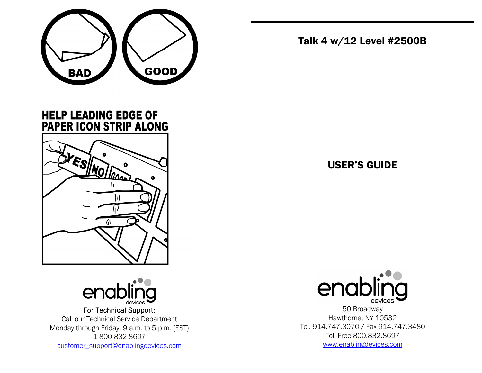

**HELP LEADING EDGE OF** PAPER ICON STRIP ALONG





For Technical Support: Call our Technical Service Department Monday through Friday, 9 a.m. to 5 p.m. (EST) 1-800-832-8697 customer\_support@enablingdevices.com

Talk 4 w/12 Level #2500B

# USER'S GUIDE



50 Broadway Hawthorne, NY 10532 Tel. 914.747.3070 / Fax 914.747.3480 Toll Free 800.832.8697 www.enablingdevices.com